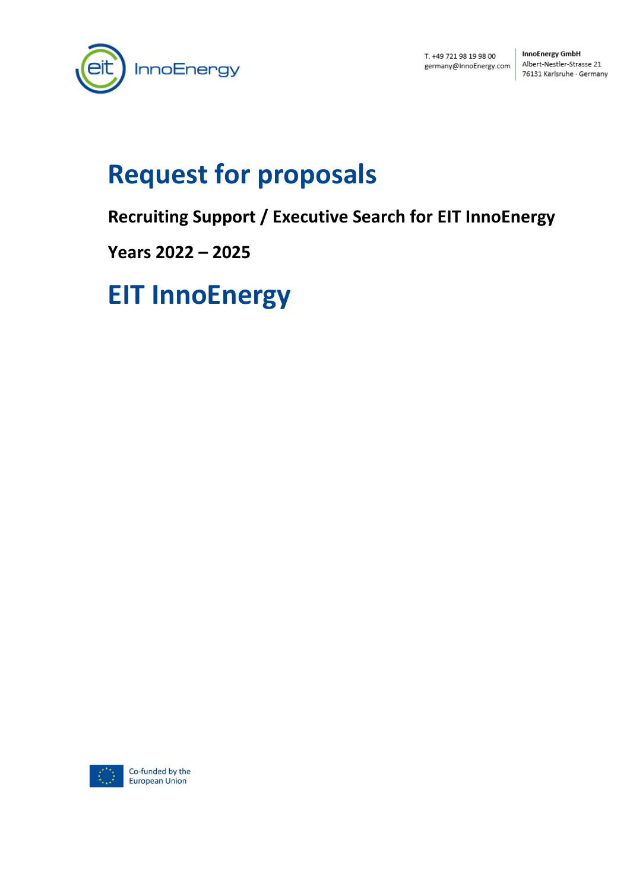

T. +49 721 98 19 98 00 germany@InnoEnergy.com

**InnoEnergy GmbH** Albert-Nestler-Strasse 21 76131 Karlsruhe · Germany

# **Request for proposals**

**Recruiting Support / Executive Search for EIT InnoEnergy**

**Years 2022 – 2025**

**EIT InnoEnergy**

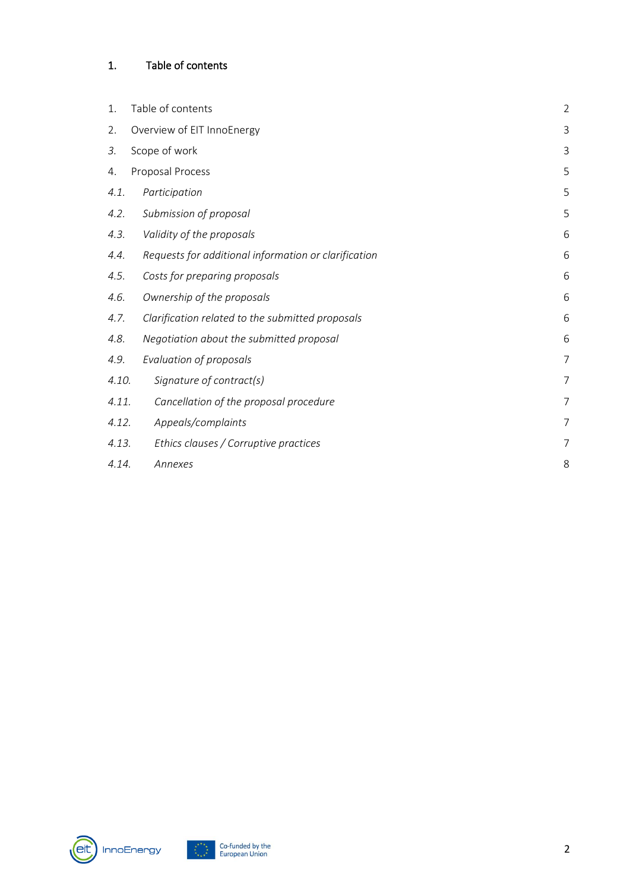# <span id="page-1-0"></span>1. Table of contents

| 1.    | Table of contents                                    | $\overline{2}$ |
|-------|------------------------------------------------------|----------------|
| 2.    | Overview of EIT InnoEnergy                           | 3              |
| 3.    | Scope of work                                        | 3              |
| 4.    | Proposal Process                                     | 5              |
| 4.1.  | Participation                                        | 5              |
| 4.2.  | Submission of proposal                               | 5              |
| 4.3.  | Validity of the proposals                            | 6              |
| 4.4.  | Requests for additional information or clarification | 6              |
| 4.5.  | Costs for preparing proposals                        | 6              |
| 4.6.  | Ownership of the proposals                           | 6              |
| 4.7.  | Clarification related to the submitted proposals     | 6              |
| 4.8.  | Negotiation about the submitted proposal             | 6              |
| 4.9.  | Evaluation of proposals                              | $\overline{7}$ |
| 4.10. | Signature of contract(s)                             | 7              |
| 4.11. | Cancellation of the proposal procedure               | 7              |
| 4.12. | Appeals/complaints                                   | 7              |
| 4.13. | Ethics clauses / Corruptive practices                | 7              |
| 4.14. | Annexes                                              | 8              |



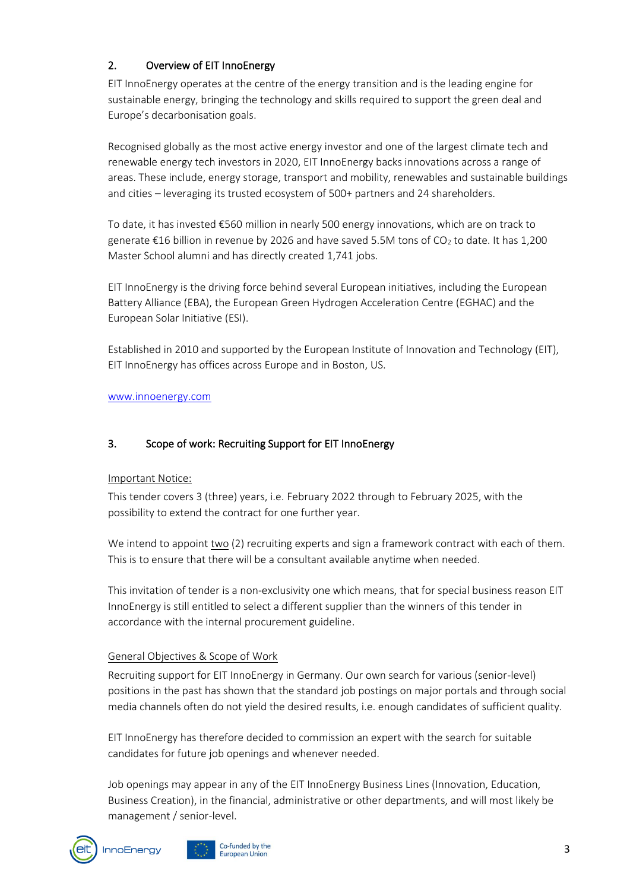# <span id="page-2-0"></span>2. Overview of EIT InnoEnergy

EIT InnoEnergy operates at the centre of the energy transition and is the leading engine for sustainable energy, bringing the technology and skills required to support the green deal and Europe's decarbonisation goals.

Recognised globally as the most active energy investor and one of the largest climate tech and renewable energy tech investors in 2020, EIT InnoEnergy backs innovations across a range of areas. These include, energy storage, transport and mobility, renewables and sustainable buildings and cities – leveraging its trusted ecosystem of 500+ partners and 24 shareholders.

To date, it has invested €560 million in nearly 500 energy innovations, which are on track to generate €16 billion in revenue by 2026 and have saved 5.5M tons of CO<sub>2</sub> to date. It has 1,200 [Master School alumni](https://eur04.safelinks.protection.outlook.com/?url=https%3A%2F%2Fwww.innoenergy.com%2Ffor-students-learners%2Fmaster-school%2F&data=04%7C01%7Crenata.hofmeister%40innoenergy.com%7Cb3aad4b4d6a545365a1e08d90a502437%7C435e0b8676ae4629aa04b81daf18c473%7C0%7C0%7C637552161582076115%7CUnknown%7CTWFpbGZsb3d8eyJWIjoiMC4wLjAwMDAiLCJQIjoiV2luMzIiLCJBTiI6Ik1haWwiLCJXVCI6Mn0%3D%7C1000&sdata=aEMzYI398p0mrC0MzqkpVZ0Kmg2GVNs49XMJXbnGEuI%3D&reserved=0) and has directly created 1,741 jobs.

EIT InnoEnergy is the driving force behind several European initiatives, including the European Battery Alliance (EBA), the European Green Hydrogen Acceleration Centre (EGHAC) and the European Solar Initiative (ESI).

Established in 2010 and supported by the European Institute of Innovation and Technology (EIT), EIT InnoEnergy has offices across Europe and in Boston, US.

[www.innoenergy.com](https://eur04.safelinks.protection.outlook.com/?url=http%3A%2F%2Fwww.innoenergy.com%2F&data=04%7C01%7Crenata.hofmeister%40innoenergy.com%7Cb3aad4b4d6a545365a1e08d90a502437%7C435e0b8676ae4629aa04b81daf18c473%7C0%7C0%7C637552161582096104%7CUnknown%7CTWFpbGZsb3d8eyJWIjoiMC4wLjAwMDAiLCJQIjoiV2luMzIiLCJBTiI6Ik1haWwiLCJXVCI6Mn0%3D%7C1000&sdata=RgiNC1hXVL0M9vm5MBxiiXuMqkGfSNZxqg71T84RCzE%3D&reserved=0)

## 3. Scope of work: Recruiting Support for EIT InnoEnergy

#### Important Notice:

This tender covers 3 (three) years, i.e. February 2022 through to February 2025, with the possibility to extend the contract for one further year.

We intend to appoint two (2) recruiting experts and sign a framework contract with each of them. This is to ensure that there will be a consultant available anytime when needed.

This invitation of tender is a non-exclusivity one which means, that for special business reason EIT InnoEnergy is still entitled to select a different supplier than the winners of this tender in accordance with the internal procurement guideline.

#### General Objectives & Scope of Work

Recruiting support for EIT InnoEnergy in Germany. Our own search for various (senior-level) positions in the past has shown that the standard job postings on major portals and through social media channels often do not yield the desired results, i.e. enough candidates of sufficient quality.

EIT InnoEnergy has therefore decided to commission an expert with the search for suitable candidates for future job openings and whenever needed.

Job openings may appear in any of the EIT InnoEnergy Business Lines (Innovation, Education, Business Creation), in the financial, administrative or other departments, and will most likely be management / senior-level.



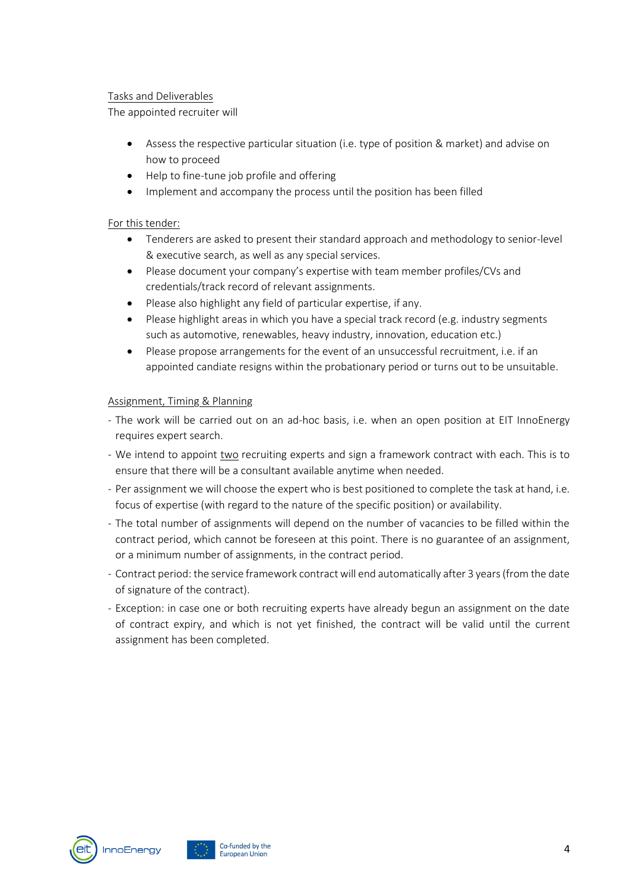#### Tasks and Deliverables

The appointed recruiter will

- Assess the respective particular situation (i.e. type of position & market) and advise on how to proceed
- Help to fine-tune job profile and offering
- Implement and accompany the process until the position has been filled

#### For this tender:

- Tenderers are asked to present their standard approach and methodology to senior-level & executive search, as well as any special services.
- Please document your company's expertise with team member profiles/CVs and credentials/track record of relevant assignments.
- Please also highlight any field of particular expertise, if any.
- Please highlight areas in which you have a special track record (e.g. industry segments such as automotive, renewables, heavy industry, innovation, education etc.)
- Please propose arrangements for the event of an unsuccessful recruitment, i.e. if an appointed candiate resigns within the probationary period or turns out to be unsuitable.

#### Assignment, Timing & Planning

- The work will be carried out on an ad-hoc basis, i.e. when an open position at EIT InnoEnergy requires expert search.
- We intend to appoint two recruiting experts and sign a framework contract with each. This is to ensure that there will be a consultant available anytime when needed.
- Per assignment we will choose the expert who is best positioned to complete the task at hand, i.e. focus of expertise (with regard to the nature of the specific position) or availability.
- The total number of assignments will depend on the number of vacancies to be filled within the contract period, which cannot be foreseen at this point. There is no guarantee of an assignment, or a minimum number of assignments, in the contract period.
- Contract period: the service framework contract will end automatically after 3 years (from the date of signature of the contract).
- Exception: in case one or both recruiting experts have already begun an assignment on the date of contract expiry, and which is not yet finished, the contract will be valid until the current assignment has been completed.



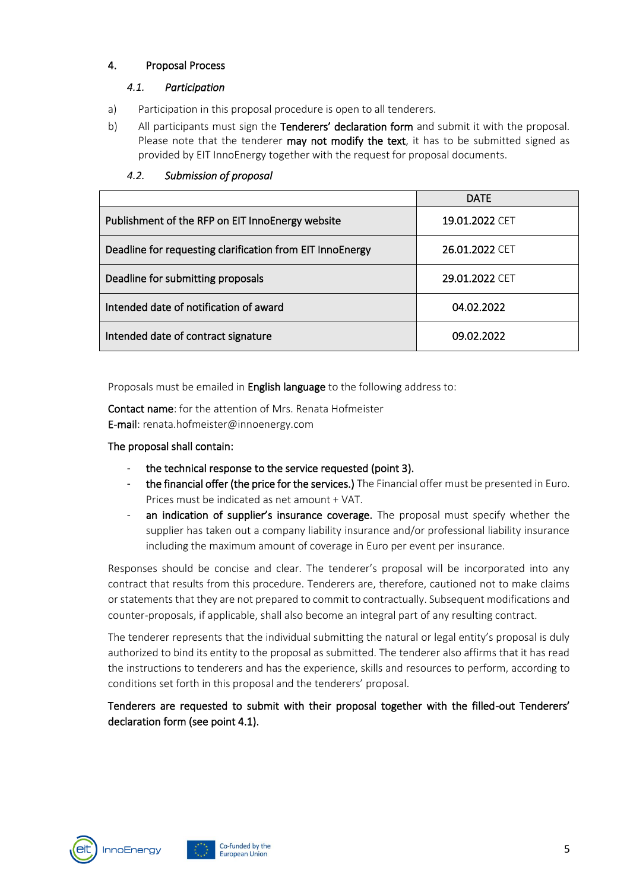## <span id="page-4-1"></span><span id="page-4-0"></span>4. Proposal Process

#### *4.1. Participation*

- a) Participation in this proposal procedure is open to all tenderers.
- b) All participants must sign the **Tenderers' declaration form** and submit it with the proposal. Please note that the tenderer may not modify the text, it has to be submitted signed as provided by EIT InnoEnergy together with the request for proposal documents.

|                                                           | <b>DATE</b>    |
|-----------------------------------------------------------|----------------|
| Publishment of the RFP on EIT InnoEnergy website          | 19.01.2022 CET |
| Deadline for requesting clarification from EIT InnoEnergy | 26.01.2022 CET |
| Deadline for submitting proposals                         | 29.01.2022 CET |
| Intended date of notification of award                    | 04.02.2022     |
| Intended date of contract signature                       | 09.02.2022     |

#### <span id="page-4-2"></span>*4.2. Submission of proposal*

Proposals must be emailed in English language to the following address to:

Contact name: for the attention of Mrs. Renata Hofmeister E-mail: renata.hofmeister@innoenergy.com

## The proposal shall contain:

- the technical response to the service requested (point 3).
- the financial offer (the price for the services.) The Financial offer must be presented in Euro. Prices must be indicated as net amount + VAT.
- an indication of supplier's insurance coverage. The proposal must specify whether the supplier has taken out a company liability insurance and/or professional liability insurance including the maximum amount of coverage in Euro per event per insurance.

Responses should be concise and clear. The tenderer's proposal will be incorporated into any contract that results from this procedure. Tenderers are, therefore, cautioned not to make claims or statements that they are not prepared to commit to contractually. Subsequent modifications and counter-proposals, if applicable, shall also become an integral part of any resulting contract.

The tenderer represents that the individual submitting the natural or legal entity's proposal is duly authorized to bind its entity to the proposal as submitted. The tenderer also affirms that it has read the instructions to tenderers and has the experience, skills and resources to perform, according to conditions set forth in this proposal and the tenderers' proposal.

# Tenderers are requested to submit with their proposal together with the filled-out Tenderers' declaration form (see point 4.1).



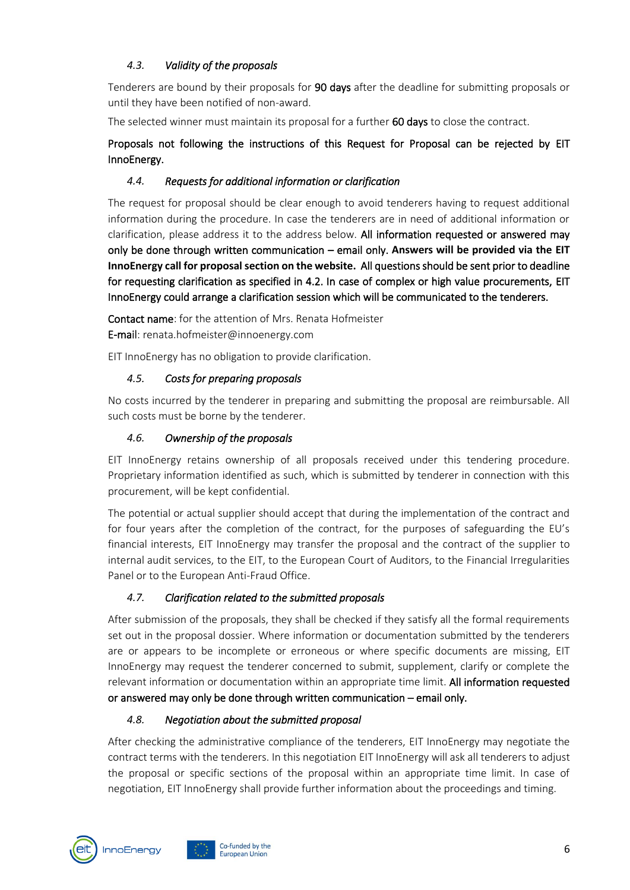# <span id="page-5-0"></span>*4.3. Validity of the proposals*

Tenderers are bound by their proposals for 90 days after the deadline for submitting proposals or until they have been notified of non-award.

The selected winner must maintain its proposal for a further 60 days to close the contract.

# Proposals not following the instructions of this Request for Proposal can be rejected by EIT InnoEnergy.

# <span id="page-5-1"></span>*4.4. Requests for additional information or clarification*

The request for proposal should be clear enough to avoid tenderers having to request additional information during the procedure. In case the tenderers are in need of additional information or clarification, please address it to the address below. All information requested or answered may only be done through written communication – email only. **Answers will be provided via the EIT InnoEnergy call for proposal section on the website.** All questions should be sent prior to deadline for requesting clarification as specified in 4.2. In case of complex or high value procurements, EIT InnoEnergy could arrange a clarification session which will be communicated to the tenderers.

Contact name: for the attention of Mrs. Renata Hofmeister E-mail: renata.hofmeister@innoenergy.com

EIT InnoEnergy has no obligation to provide clarification.

# <span id="page-5-2"></span>*4.5. Costs for preparing proposals*

No costs incurred by the tenderer in preparing and submitting the proposal are reimbursable. All such costs must be borne by the tenderer.

# <span id="page-5-3"></span>*4.6. Ownership of the proposals*

EIT InnoEnergy retains ownership of all proposals received under this tendering procedure. Proprietary information identified as such, which is submitted by tenderer in connection with this procurement, will be kept confidential.

The potential or actual supplier should accept that during the implementation of the contract and for four years after the completion of the contract, for the purposes of safeguarding the EU's financial interests, EIT InnoEnergy may transfer the proposal and the contract of the supplier to internal audit services, to the EIT, to the European Court of Auditors, to the Financial Irregularities Panel or to the European Anti-Fraud Office.

# <span id="page-5-4"></span>*4.7. Clarification related to the submitted proposals*

After submission of the proposals, they shall be checked if they satisfy all the formal requirements set out in the proposal dossier. Where information or documentation submitted by the tenderers are or appears to be incomplete or erroneous or where specific documents are missing, EIT InnoEnergy may request the tenderer concerned to submit, supplement, clarify or complete the relevant information or documentation within an appropriate time limit. All information requested or answered may only be done through written communication – email only.

## <span id="page-5-5"></span>*4.8. Negotiation about the submitted proposal*

After checking the administrative compliance of the tenderers, EIT InnoEnergy may negotiate the contract terms with the tenderers. In this negotiation EIT InnoEnergy will ask all tenderers to adjust the proposal or specific sections of the proposal within an appropriate time limit. In case of negotiation, EIT InnoEnergy shall provide further information about the proceedings and timing.

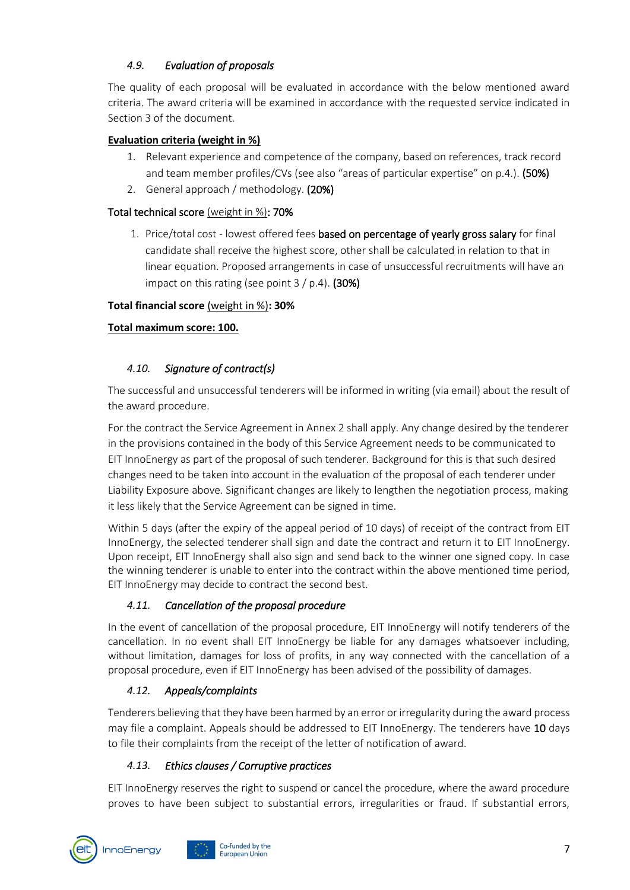# <span id="page-6-0"></span>*4.9. Evaluation of proposals*

The quality of each proposal will be evaluated in accordance with the below mentioned award criteria. The award criteria will be examined in accordance with the requested service indicated in Section 3 of the document.

## **Evaluation criteria (weight in %)**

- 1. Relevant experience and competence of the company, based on references, track record and team member profiles/CVs (see also "areas of particular expertise" on p.4.). (50%)
- 2. General approach / methodology. (20%)

#### Total technical score (weight in %): 70%

1. Price/total cost - lowest offered fees based on percentage of yearly gross salary for final candidate shall receive the highest score, other shall be calculated in relation to that in linear equation. Proposed arrangements in case of unsuccessful recruitments will have an impact on this rating (see point  $3 / p.4$ ). (30%)

#### **Total financial score** (weight in %)**: 30%**

#### **Total maximum score: 100.**

## <span id="page-6-1"></span>*4.10. Signature of contract(s)*

The successful and unsuccessful tenderers will be informed in writing (via email) about the result of the award procedure.

For the contract the Service Agreement in Annex 2 shall apply. Any change desired by the tenderer in the provisions contained in the body of this Service Agreement needs to be communicated to EIT InnoEnergy as part of the proposal of such tenderer. Background for this is that such desired changes need to be taken into account in the evaluation of the proposal of each tenderer under Liability Exposure above. Significant changes are likely to lengthen the negotiation process, making it less likely that the Service Agreement can be signed in time.

Within 5 days (after the expiry of the appeal period of 10 days) of receipt of the contract from EIT InnoEnergy, the selected tenderer shall sign and date the contract and return it to EIT InnoEnergy. Upon receipt, EIT InnoEnergy shall also sign and send back to the winner one signed copy. In case the winning tenderer is unable to enter into the contract within the above mentioned time period, EIT InnoEnergy may decide to contract the second best.

## <span id="page-6-2"></span>*4.11. Cancellation of the proposal procedure*

In the event of cancellation of the proposal procedure, EIT InnoEnergy will notify tenderers of the cancellation. In no event shall EIT InnoEnergy be liable for any damages whatsoever including, without limitation, damages for loss of profits, in any way connected with the cancellation of a proposal procedure, even if EIT InnoEnergy has been advised of the possibility of damages.

## <span id="page-6-3"></span>*4.12. Appeals/complaints*

Tenderers believing that they have been harmed by an error or irregularity during the award process may file a complaint. Appeals should be addressed to EIT InnoEnergy. The tenderers have 10 days to file their complaints from the receipt of the letter of notification of award.

## <span id="page-6-4"></span>*4.13. Ethics clauses / Corruptive practices*

EIT InnoEnergy reserves the right to suspend or cancel the procedure, where the award procedure proves to have been subject to substantial errors, irregularities or fraud. If substantial errors,